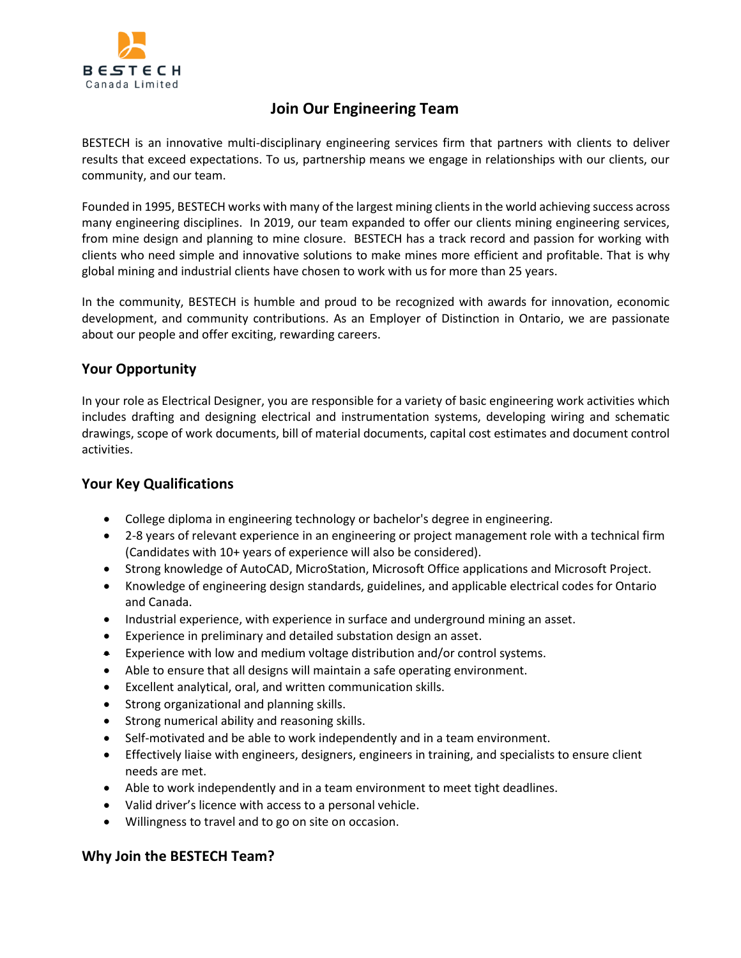

# **Join Our Engineering Team**

BESTECH is an innovative multi-disciplinary engineering services firm that partners with clients to deliver results that exceed expectations. To us, partnership means we engage in relationships with our clients, our community, and our team.

Founded in 1995, BESTECH works with many of the largest mining clients in the world achieving success across many engineering disciplines. In 2019, our team expanded to offer our clients mining engineering services, from mine design and planning to mine closure. BESTECH has a track record and passion for working with clients who need simple and innovative solutions to make mines more efficient and profitable. That is why global mining and industrial clients have chosen to work with us for more than 25 years.

In the community, BESTECH is humble and proud to be recognized with awards for innovation, economic development, and community contributions. As an Employer of Distinction in Ontario, we are passionate about our people and offer exciting, rewarding careers.

## **Your Opportunity**

In your role as Electrical Designer, you are responsible for a variety of basic engineering work activities which includes drafting and designing electrical and instrumentation systems, developing wiring and schematic drawings, scope of work documents, bill of material documents, capital cost estimates and document control activities.

### **Your Key Qualifications**

- College diploma in engineering technology or bachelor's degree in engineering.
- 2-8 years of relevant experience in an engineering or project management role with a technical firm (Candidates with 10+ years of experience will also be considered).
- Strong knowledge of AutoCAD, MicroStation, Microsoft Office applications and Microsoft Project.
- Knowledge of engineering design standards, guidelines, and applicable electrical codes for Ontario and Canada.
- Industrial experience, with experience in surface and underground mining an asset.
- Experience in preliminary and detailed substation design an asset.
- Experience with low and medium voltage distribution and/or control systems.
- Able to ensure that all designs will maintain a safe operating environment.
- Excellent analytical, oral, and written communication skills.
- Strong organizational and planning skills.
- Strong numerical ability and reasoning skills.
- Self-motivated and be able to work independently and in a team environment.
- Effectively liaise with engineers, designers, engineers in training, and specialists to ensure client needs are met.
- Able to work independently and in a team environment to meet tight deadlines.
- Valid driver's licence with access to a personal vehicle.
- Willingness to travel and to go on site on occasion.

#### **Why Join the BESTECH Team?**